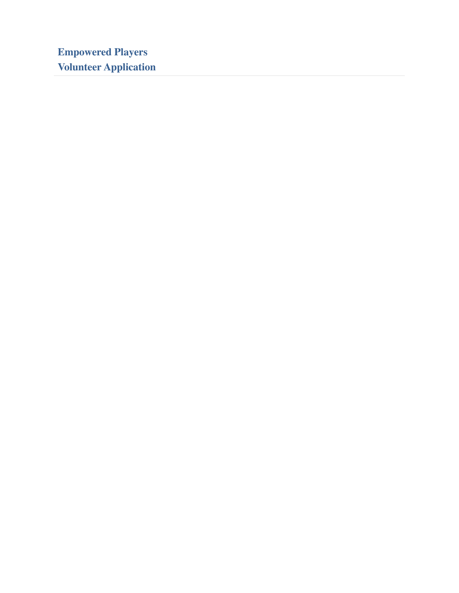**Empowered Players Volunteer Application**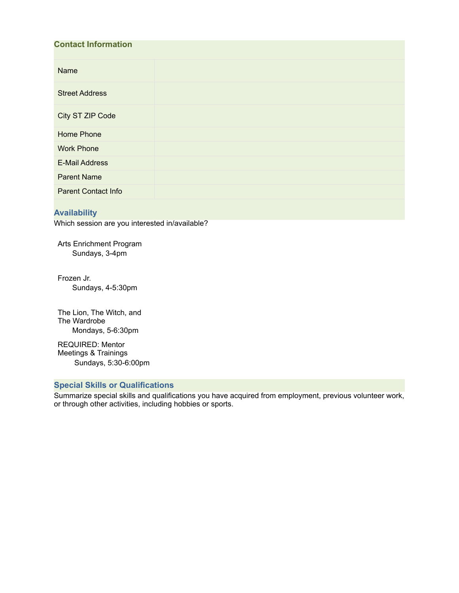| <b>Contact Information</b> |  |  |
|----------------------------|--|--|
| Name                       |  |  |
| <b>Street Address</b>      |  |  |
| City ST ZIP Code           |  |  |
| <b>Home Phone</b>          |  |  |
| <b>Work Phone</b>          |  |  |
| <b>E-Mail Address</b>      |  |  |
| <b>Parent Name</b>         |  |  |
| <b>Parent Contact Info</b> |  |  |

## **Availability**

Which session are you interested in/available?

Arts Enrichment Program Sundays, 3-4pm

Frozen Jr. Sundays, 4-5:30pm

The Lion, The Witch, and The Wardrobe Mondays, 5-6:30pm

REQUIRED: Mentor Meetings & Trainings Sundays, 5:30-6:00pm

### **Special Skills or Qualifications**

Summarize special skills and qualifications you have acquired from employment, previous volunteer work, or through other activities, including hobbies or sports.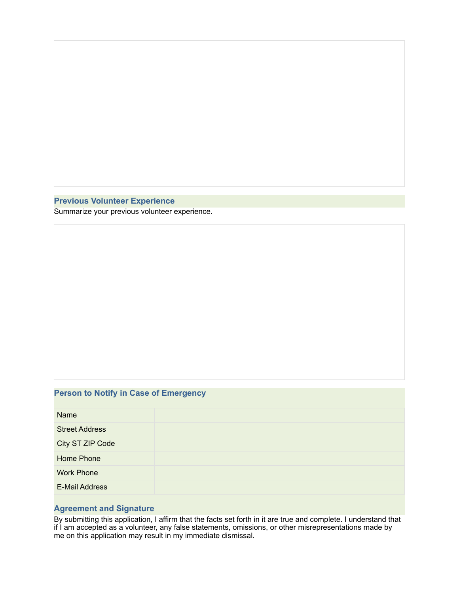### **Previous Volunteer Experience**

Summarize your previous volunteer experience.

# **Person to Notify in Case of Emergency**

| Name                  |  |
|-----------------------|--|
| <b>Street Address</b> |  |
| City ST ZIP Code      |  |
| Home Phone            |  |
| <b>Work Phone</b>     |  |
| <b>E-Mail Address</b> |  |

#### **Agreement and Signature**

By submitting this application, I affirm that the facts set forth in it are true and complete. I understand that if I am accepted as a volunteer, any false statements, omissions, or other misrepresentations made by me on this application may result in my immediate dismissal.